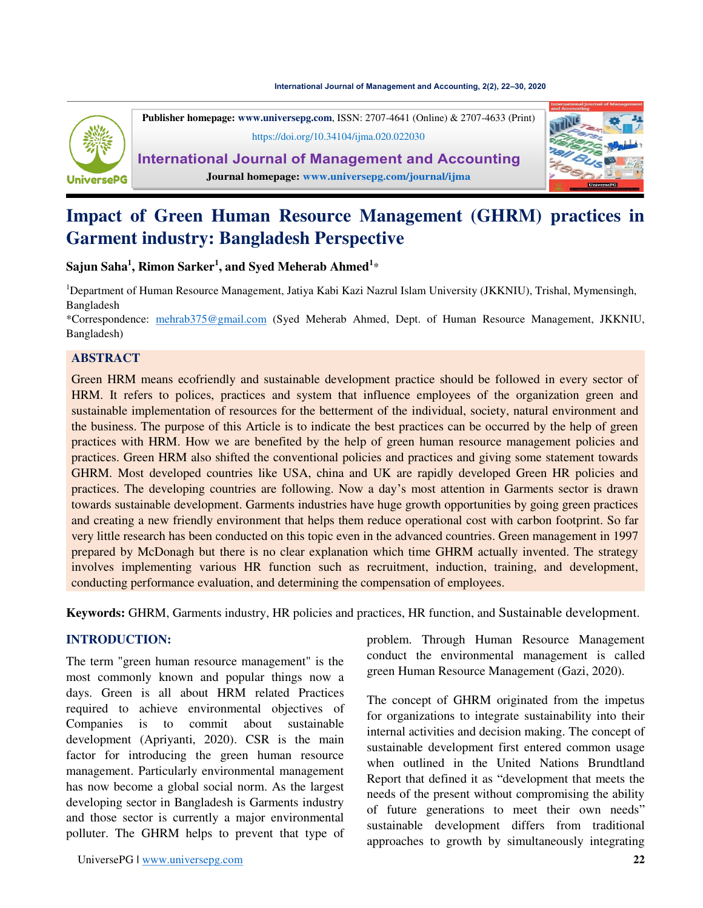#### **[International Journal of Management and Accounting, 2\(2\), 22](https://doi.org/10.34104/ijma.020.022030)–30, 2020**



**Publisher homepage: [www.universepg.com](http://www.universepg.com/)**, ISSN: 2707-4641 (Online) & 2707-4633 (Print) <https://doi.org/10.34104/ijma.020.022030>

**International Journal of Management and Accounting Journal homepage: [www.universepg.com/journal/ijma](http://www.universepg.com/journal/ijma)**



# **Impact of Green Human Resource Management (GHRM) practices in Garment industry: Bangladesh Perspective**

**Sajun Saha<sup>1</sup> , Rimon Sarker<sup>1</sup> , and Syed Meherab Ahmed<sup>1</sup>** \*

<sup>1</sup>Department of Human Resource Management, Jatiya Kabi Kazi Nazrul Islam University (JKKNIU), Trishal, Mymensingh, Bangladesh

\*Correspondence: [mehrab375@gmail.com](mailto:mehrab375@gmail.com) (Syed Meherab Ahmed, Dept. of Human Resource Management, JKKNIU, Bangladesh)

# **ABSTRACT**

Green HRM means ecofriendly and sustainable development practice should be followed in every sector of HRM. It refers to polices, practices and system that influence employees of the organization green and sustainable implementation of resources for the betterment of the individual, society, natural environment and the business. The purpose of this Article is to indicate the best practices can be occurred by the help of green practices with HRM. How we are benefited by the help of green human resource management policies and practices. Green HRM also shifted the conventional policies and practices and giving some statement towards GHRM. Most developed countries like USA, china and UK are rapidly developed Green HR policies and practices. The developing countries are following. Now a day's most attention in Garments sector is drawn towards sustainable development. Garments industries have huge growth opportunities by going green practices and creating a new friendly environment that helps them reduce operational cost with carbon footprint. So far very little research has been conducted on this topic even in the advanced countries. Green management in 1997 prepared by McDonagh but there is no clear explanation which time GHRM actually invented. The strategy involves implementing various HR function such as recruitment, induction, training, and development, conducting performance evaluation, and determining the compensation of employees.

**Keywords:** GHRM, Garments industry, HR policies and practices, HR function, and Sustainable development.

# **INTRODUCTION:**

The term "green human resource management" is the most commonly known and popular things now a days. Green is all about HRM related Practices required to achieve environmental objectives of Companies is to commit about sustainable development (Apriyanti, 2020). CSR is the main factor for introducing the green human resource management. Particularly environmental management has now become a global social norm. As the largest developing sector in Bangladesh is Garments industry and those sector is currently a major environmental polluter. The GHRM helps to prevent that type of

problem. Through Human Resource Management conduct the environmental management is called green Human Resource Management (Gazi, 2020).

The concept of GHRM originated from the impetus for organizations to integrate sustainability into their internal activities and decision making. The concept of sustainable development first entered common usage when outlined in the United Nations Brundtland Report that defined it as "development that meets the needs of the present without compromising the ability of future generations to meet their own needs" sustainable development differs from traditional approaches to growth by simultaneously integrating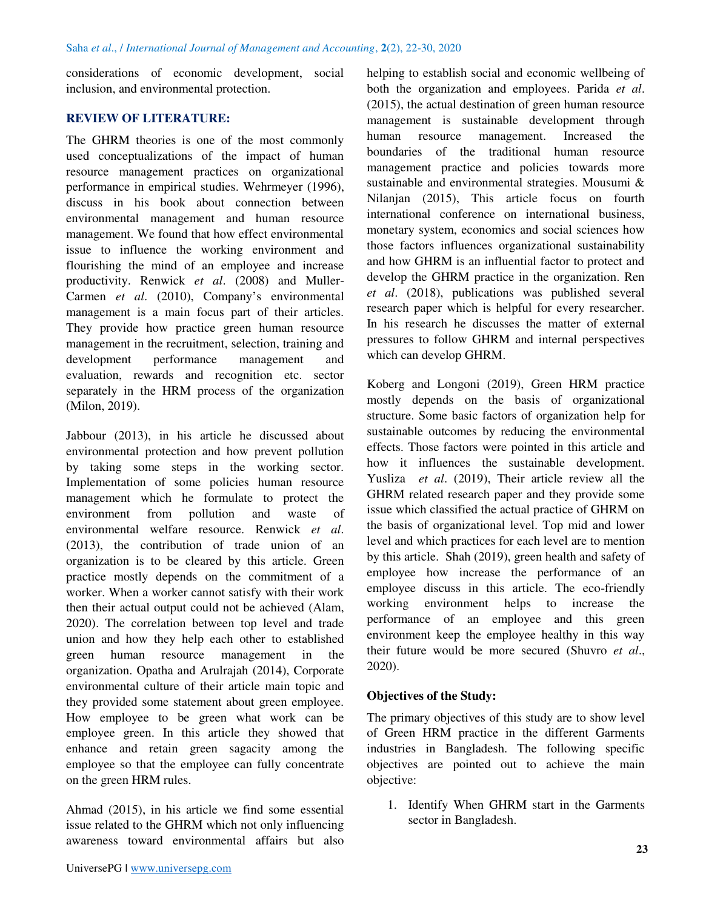considerations of economic development, social inclusion, and environmental protection.

## **REVIEW OF LITERATURE:**

The GHRM theories is one of the most commonly used conceptualizations of the impact of human resource management practices on organizational performance in empirical studies. Wehrmeyer (1996), discuss in his book about connection between environmental management and human resource management. We found that how effect environmental issue to influence the working environment and flourishing the mind of an employee and increase productivity. Renwick *et al*. (2008) and Muller-Carmen *et al*. (2010), Company's environmental management is a main focus part of their articles. They provide how practice green human resource management in the recruitment, selection, training and development performance management and evaluation, rewards and recognition etc. sector separately in the HRM process of the organization (Milon, 2019).

Jabbour (2013), in his article he discussed about environmental protection and how prevent pollution by taking some steps in the working sector. Implementation of some policies human resource management which he formulate to protect the environment from pollution and waste of environmental welfare resource. Renwick *et al*. (2013), the contribution of trade union of an organization is to be cleared by this article. Green practice mostly depends on the commitment of a worker. When a worker cannot satisfy with their work then their actual output could not be achieved (Alam, 2020). The correlation between top level and trade union and how they help each other to established green human resource management in the organization. Opatha and Arulrajah (2014), Corporate environmental culture of their article main topic and they provided some statement about green employee. How employee to be green what work can be employee green. In this article they showed that enhance and retain green sagacity among the employee so that the employee can fully concentrate on the green HRM rules.

Ahmad (2015), in his article we find some essential issue related to the GHRM which not only influencing awareness toward environmental affairs but also

helping to establish social and economic wellbeing of both the organization and employees. Parida *et al*. (2015), the actual destination of green human resource management is sustainable development through human resource management. Increased the boundaries of the traditional human resource management practice and policies towards more sustainable and environmental strategies. Mousumi & Nilanjan (2015), This article focus on fourth international conference on international business, monetary system, economics and social sciences how those factors influences organizational sustainability and how GHRM is an influential factor to protect and develop the GHRM practice in the organization. Ren *et al*. (2018), publications was published several research paper which is helpful for every researcher. In his research he discusses the matter of external pressures to follow GHRM and internal perspectives which can develop GHRM.

Koberg and Longoni (2019), Green HRM practice mostly depends on the basis of organizational structure. Some basic factors of organization help for sustainable outcomes by reducing the environmental effects. Those factors were pointed in this article and how it influences the sustainable development. Yusliza *et al*. (2019), Their article review all the GHRM related research paper and they provide some issue which classified the actual practice of GHRM on the basis of organizational level. Top mid and lower level and which practices for each level are to mention by this article. Shah (2019), green health and safety of employee how increase the performance of an employee discuss in this article. The eco-friendly working environment helps to increase the performance of an employee and this green environment keep the employee healthy in this way their future would be more secured (Shuvro *et al*., 2020).

# **Objectives of the Study:**

The primary objectives of this study are to show level of Green HRM practice in the different Garments industries in Bangladesh. The following specific objectives are pointed out to achieve the main objective:

1. Identify When GHRM start in the Garments sector in Bangladesh.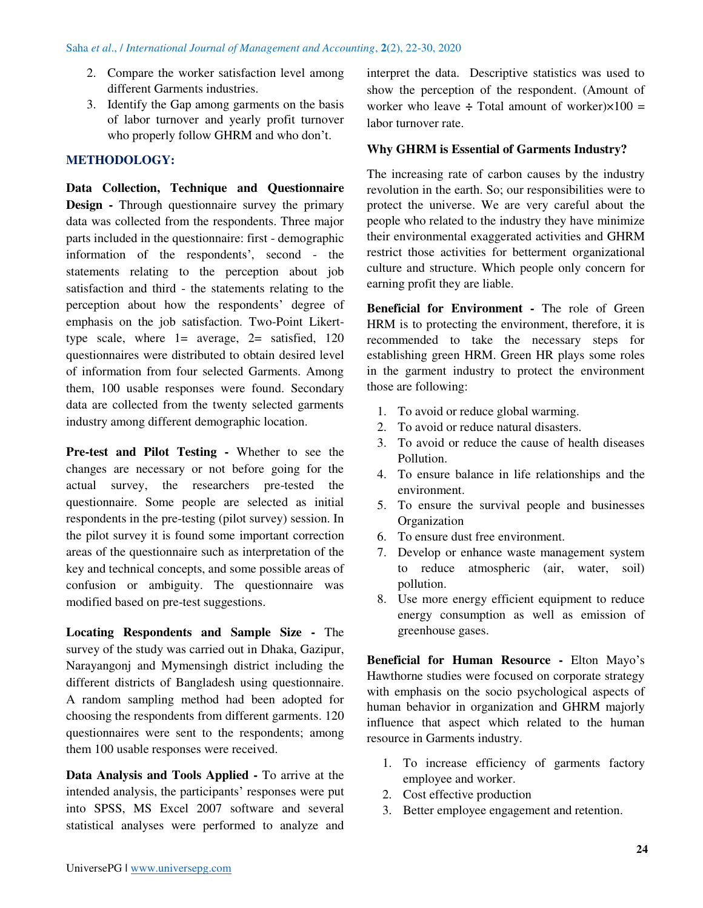- 2. Compare the worker satisfaction level among different Garments industries.
- 3. Identify the Gap among garments on the basis of labor turnover and yearly profit turnover who properly follow GHRM and who don't.

# **METHODOLOGY:**

**Data Collection, Technique and Questionnaire Design** - Through questionnaire survey the primary data was collected from the respondents. Three major parts included in the questionnaire: first - demographic information of the respondents', second - the statements relating to the perception about job satisfaction and third - the statements relating to the perception about how the respondents' degree of emphasis on the job satisfaction. Two-Point Likerttype scale, where  $1=$  average,  $2=$  satisfied,  $120$ questionnaires were distributed to obtain desired level of information from four selected Garments. Among them, 100 usable responses were found. Secondary data are collected from the twenty selected garments industry among different demographic location.

**Pre-test and Pilot Testing -** Whether to see the changes are necessary or not before going for the actual survey, the researchers pre-tested the questionnaire. Some people are selected as initial respondents in the pre-testing (pilot survey) session. In the pilot survey it is found some important correction areas of the questionnaire such as interpretation of the key and technical concepts, and some possible areas of confusion or ambiguity. The questionnaire was modified based on pre-test suggestions.

**Locating Respondents and Sample Size -** The survey of the study was carried out in Dhaka, Gazipur, Narayangonj and Mymensingh district including the different districts of Bangladesh using questionnaire. A random sampling method had been adopted for choosing the respondents from different garments. 120 questionnaires were sent to the respondents; among them 100 usable responses were received.

**Data Analysis and Tools Applied -** To arrive at the intended analysis, the participants' responses were put into SPSS, MS Excel 2007 software and several statistical analyses were performed to analyze and interpret the data. Descriptive statistics was used to show the perception of the respondent. (Amount of worker who leave  $\div$  Total amount of worker) $\times$ 100 = labor turnover rate.

# **Why GHRM is Essential of Garments Industry?**

The increasing rate of carbon causes by the industry revolution in the earth. So; our responsibilities were to protect the universe. We are very careful about the people who related to the industry they have minimize their environmental exaggerated activities and GHRM restrict those activities for betterment organizational culture and structure. Which people only concern for earning profit they are liable.

**Beneficial for Environment -** The role of Green HRM is to protecting the environment, therefore, it is recommended to take the necessary steps for establishing green HRM. Green HR plays some roles in the garment industry to protect the environment those are following:

- 1. To avoid or reduce global warming.
- 2. To avoid or reduce natural disasters.
- 3. To avoid or reduce the cause of health diseases Pollution.
- 4. To ensure balance in life relationships and the environment.
- 5. To ensure the survival people and businesses **Organization**
- 6. To ensure dust free environment.
- 7. Develop or enhance waste management system to reduce atmospheric (air, water, soil) pollution.
- 8. Use more energy efficient equipment to reduce energy consumption as well as emission of greenhouse gases.

**Beneficial for Human Resource -** Elton Mayo's Hawthorne studies were focused on corporate strategy with emphasis on the socio psychological aspects of human behavior in organization and GHRM majorly influence that aspect which related to the human resource in Garments industry.

- 1. To increase efficiency of garments factory employee and worker.
- 2. Cost effective production
- 3. Better employee engagement and retention.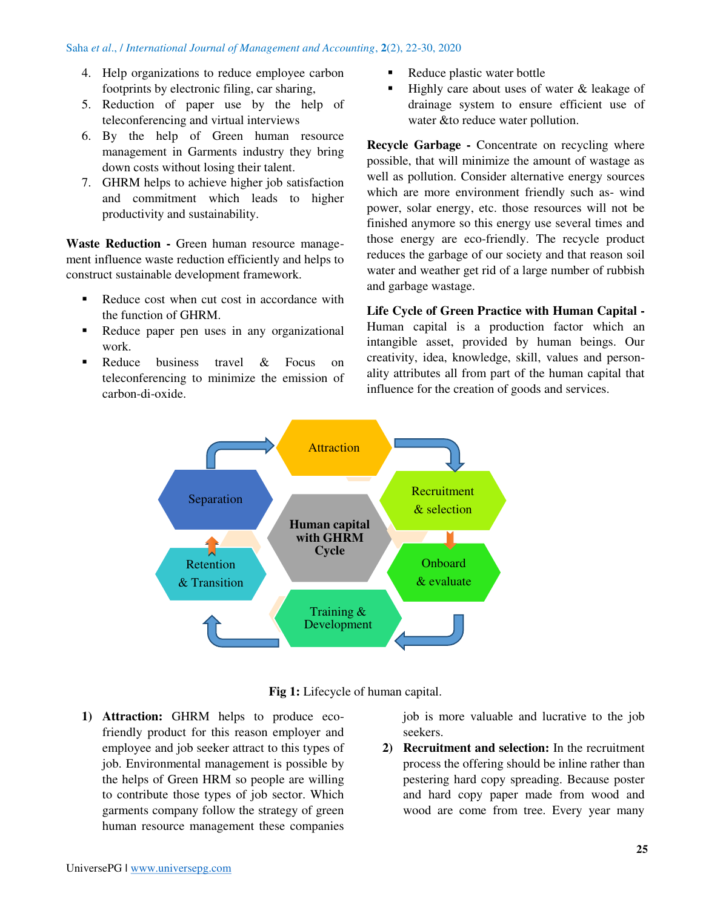- 4. Help organizations to reduce employee carbon footprints by electronic filing, car sharing,
- 5. Reduction of paper use by the help of teleconferencing and virtual interviews
- 6. By the help of Green human resource management in Garments industry they bring down costs without losing their talent.
- 7. GHRM helps to achieve higher job satisfaction and commitment which leads to higher productivity and sustainability.

Waste Reduction - Green human resource management influence waste reduction efficiently and helps to construct sustainable development framework.

- Reduce cost when cut cost in accordance with the function of GHRM.
- Reduce paper pen uses in any organizational work.
- Reduce business travel & Focus on teleconferencing to minimize the emission of carbon-di-oxide.
- Reduce plastic water bottle
- Highly care about uses of water & leakage of drainage system to ensure efficient use of water &to reduce water pollution.

**Recycle Garbage - Concentrate on recycling where** possible, that will minimize the amount of wastage as well as pollution. Consider alternative energy sources which are more environment friendly such as- wind power, solar energy, etc. those resources will not be finished anymore so this energy use several times and those energy are eco-friendly. The recycle product reduces the garbage of our society and that reason soil water and weather get rid of a large number of rubbish and garbage wastage.

**Life Cycle of Green Practice with Human Capital -**  Human capital is a production factor which an intangible asset, provided by human beings. Our creativity, idea, knowledge, skill, values and personality attributes all from part of the human capital that influence for the creation of goods and services.





**1) Attraction:** GHRM helps to produce ecofriendly product for this reason employer and employee and job seeker attract to this types of job. Environmental management is possible by the helps of Green HRM so people are willing to contribute those types of job sector. Which garments company follow the strategy of green human resource management these companies

job is more valuable and lucrative to the job seekers.

**2) Recruitment and selection:** In the recruitment process the offering should be inline rather than pestering hard copy spreading. Because poster and hard copy paper made from wood and wood are come from tree. Every year many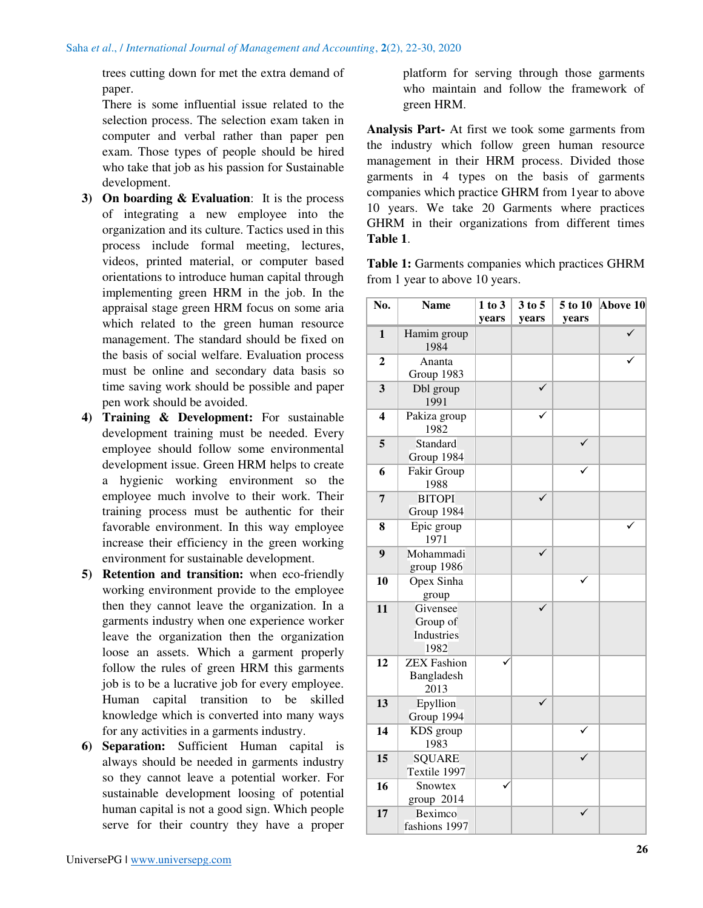trees cutting down for met the extra demand of paper.

There is some influential issue related to the selection process. The selection exam taken in computer and verbal rather than paper pen exam. Those types of people should be hired who take that job as his passion for Sustainable development.

- **3) On boarding & Evaluation**: It is the process of integrating a new employee into the organization and its culture. Tactics used in this process include formal meeting, lectures, videos, printed material, or computer based orientations to introduce human capital through implementing green HRM in the job. In the appraisal stage green HRM focus on some aria which related to the green human resource management. The standard should be fixed on the basis of social welfare. Evaluation process must be online and secondary data basis so time saving work should be possible and paper pen work should be avoided.
- **4) Training & Development:** For sustainable development training must be needed. Every employee should follow some environmental development issue. Green HRM helps to create a hygienic working environment so the employee much involve to their work. Their training process must be authentic for their favorable environment. In this way employee increase their efficiency in the green working environment for sustainable development.
- **5) Retention and transition:** when eco-friendly working environment provide to the employee then they cannot leave the organization. In a garments industry when one experience worker leave the organization then the organization loose an assets. Which a garment properly follow the rules of green HRM this garments job is to be a lucrative job for every employee. Human capital transition to be skilled knowledge which is converted into many ways for any activities in a garments industry.
- **6) Separation:** Sufficient Human capital is always should be needed in garments industry so they cannot leave a potential worker. For sustainable development loosing of potential human capital is not a good sign. Which people serve for their country they have a proper

platform for serving through those garments who maintain and follow the framework of green HRM.

**Analysis Part-** At first we took some garments from the industry which follow green human resource management in their HRM process. Divided those garments in 4 types on the basis of garments companies which practice GHRM from 1year to above 10 years. We take 20 Garments where practices GHRM in their organizations from different times **Table 1**.

**Table 1:** Garments companies which practices GHRM from 1 year to above 10 years.

| No.                     | <b>Name</b>                                | 1 to 3 | 3 to 5       | 5 to 10 | Above 10 |
|-------------------------|--------------------------------------------|--------|--------------|---------|----------|
|                         |                                            | years  | years        | years   |          |
| $\mathbf{1}$            | Hamim group<br>1984                        |        |              |         |          |
| $\mathbf{2}$            | Ananta<br>Group 1983                       |        |              |         |          |
| 3                       | Dbl group<br>1991                          |        |              |         |          |
| $\overline{\mathbf{4}}$ | Pakiza group<br>1982                       |        |              |         |          |
| 5                       | Standard<br>Group 1984                     |        |              |         |          |
| 6                       | Fakir Group<br>1988                        |        |              |         |          |
| $\overline{7}$          | <b>BITOPI</b><br>Group 1984                |        |              |         |          |
| 8                       | Epic group<br>1971                         |        |              |         |          |
| $\boldsymbol{9}$        | Mohammadi<br>group 1986                    |        |              |         |          |
| 10                      | Opex Sinha<br>group                        |        |              |         |          |
| 11                      | Givensee<br>Group of<br>Industries<br>1982 |        |              |         |          |
| 12                      | <b>ZEX Fashion</b><br>Bangladesh<br>2013   |        |              |         |          |
| 13                      | Epyllion<br>Group 1994                     |        | $\checkmark$ |         |          |
| 14                      | KDS group<br>1983                          |        |              |         |          |
| 15                      | <b>SQUARE</b><br>Textile 1997              |        |              |         |          |
| 16                      | Snowtex<br>group 2014                      |        |              |         |          |
| 17                      | Beximco<br>fashions 1997                   |        |              |         |          |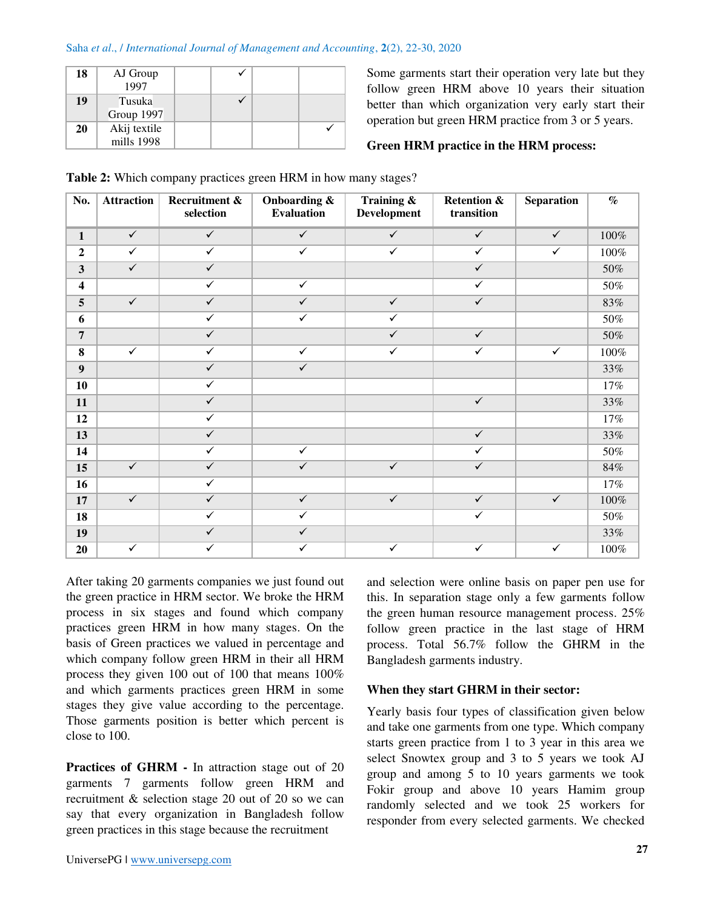#### Saha *et al*., / *International Journal of Management and Accounting*, **2**(2), 22-30, 2020

| 18 | AJ Group<br>1997 |  |  |
|----|------------------|--|--|
| 19 | Tusuka           |  |  |
|    | Group 1997       |  |  |
| 20 | Akij textile     |  |  |
|    | mills 1998       |  |  |

Some garments start their operation very late but they follow green HRM above 10 years their situation better than which organization very early start their operation but green HRM practice from 3 or 5 years.

# **Green HRM practice in the HRM process:**

| No.                     | <b>Attraction</b> | Recruitment &<br>selection | Onboarding &<br><b>Evaluation</b> | Training &<br><b>Development</b> | <b>Retention &amp;</b><br>transition | <b>Separation</b> | $\%$    |
|-------------------------|-------------------|----------------------------|-----------------------------------|----------------------------------|--------------------------------------|-------------------|---------|
| $\mathbf{1}$            | $\checkmark$      | $\checkmark$               | $\checkmark$                      | $\checkmark$                     | $\checkmark$                         | $\checkmark$      | $100\%$ |
| $\overline{2}$          | $\checkmark$      | $\checkmark$               | $\checkmark$                      | $\checkmark$                     | $\checkmark$                         | $\checkmark$      | $100\%$ |
| $\mathbf{3}$            | $\checkmark$      | $\checkmark$               |                                   |                                  | $\checkmark$                         |                   | $50\%$  |
| $\overline{\mathbf{4}}$ |                   | $\checkmark$               | $\checkmark$                      |                                  | $\checkmark$                         |                   | $50\%$  |
| 5                       | $\checkmark$      | $\checkmark$               | $\checkmark$                      | $\checkmark$                     | $\checkmark$                         |                   | $83\%$  |
| 6                       |                   | $\checkmark$               | $\checkmark$                      | $\checkmark$                     |                                      |                   | $50\%$  |
| $\overline{7}$          |                   | $\checkmark$               |                                   | $\checkmark$                     | $\checkmark$                         |                   | $50\%$  |
| 8                       | $\checkmark$      | $\checkmark$               | $\checkmark$                      | $\checkmark$                     | $\checkmark$                         | $\checkmark$      | $100\%$ |
| $\boldsymbol{9}$        |                   | $\checkmark$               | $\checkmark$                      |                                  |                                      |                   | $33\%$  |
| 10                      |                   | $\checkmark$               |                                   |                                  |                                      |                   | $17\%$  |
| 11                      |                   | $\checkmark$               |                                   |                                  | $\checkmark$                         |                   | 33%     |
| 12                      |                   | $\checkmark$               |                                   |                                  |                                      |                   | $17\%$  |
| 13                      |                   | $\checkmark$               |                                   |                                  | $\checkmark$                         |                   | 33%     |
| 14                      |                   | $\checkmark$               | $\checkmark$                      |                                  | $\checkmark$                         |                   | $50\%$  |
| 15                      | $\checkmark$      | $\checkmark$               | $\checkmark$                      | $\checkmark$                     | $\checkmark$                         |                   | 84%     |
| 16                      |                   | $\checkmark$               |                                   |                                  |                                      |                   | $17\%$  |
| 17                      | $\checkmark$      | $\checkmark$               | $\checkmark$                      | $\checkmark$                     | $\checkmark$                         | $\checkmark$      | $100\%$ |
| 18                      |                   | $\checkmark$               | $\checkmark$                      |                                  | $\checkmark$                         |                   | $50\%$  |
| 19                      |                   | $\checkmark$               | $\checkmark$                      |                                  |                                      |                   | $33\%$  |
| 20                      | $\checkmark$      | $\checkmark$               | $\checkmark$                      | $\checkmark$                     | $\checkmark$                         | $\checkmark$      | $100\%$ |

**Table 2:** Which company practices green HRM in how many stages?

After taking 20 garments companies we just found out the green practice in HRM sector. We broke the HRM process in six stages and found which company practices green HRM in how many stages. On the basis of Green practices we valued in percentage and which company follow green HRM in their all HRM process they given 100 out of 100 that means 100% and which garments practices green HRM in some stages they give value according to the percentage. Those garments position is better which percent is close to 100.

**Practices of GHRM -** In attraction stage out of 20 garments 7 garments follow green HRM and recruitment & selection stage 20 out of 20 so we can say that every organization in Bangladesh follow green practices in this stage because the recruitment

and selection were online basis on paper pen use for this. In separation stage only a few garments follow the green human resource management process. 25% follow green practice in the last stage of HRM process. Total 56.7% follow the GHRM in the Bangladesh garments industry.

# **When they start GHRM in their sector:**

Yearly basis four types of classification given below and take one garments from one type. Which company starts green practice from 1 to 3 year in this area we select Snowtex group and 3 to 5 years we took AJ group and among 5 to 10 years garments we took Fokir group and above 10 years Hamim group randomly selected and we took 25 workers for responder from every selected garments. We checked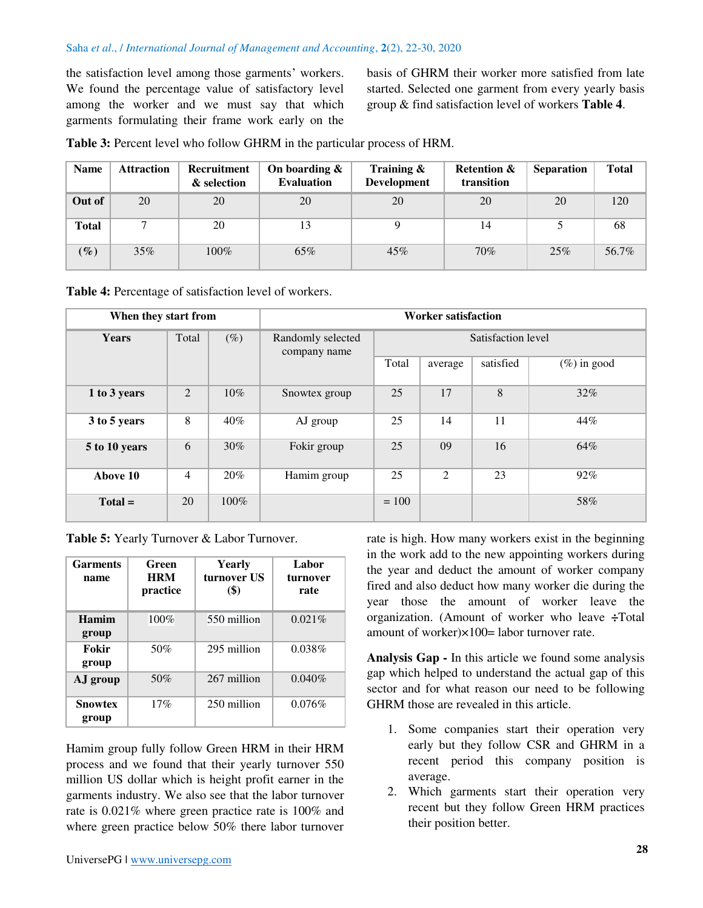#### Saha *et al*., / *International Journal of Management and Accounting*, **2**(2), 22-30, 2020

the satisfaction level among those garments' workers. We found the percentage value of satisfactory level among the worker and we must say that which garments formulating their frame work early on the

basis of GHRM their worker more satisfied from late started. Selected one garment from every yearly basis group & find satisfaction level of workers **Table 4**.

**Table 3:** Percent level who follow GHRM in the particular process of HRM.

| <b>Name</b>  | <b>Attraction</b> | Recruitment<br>& selection | On boarding $\&$<br><b>Evaluation</b> | Training $\&$<br><b>Development</b> | <b>Retention &amp;</b><br>transition | <b>Separation</b> | <b>Total</b> |
|--------------|-------------------|----------------------------|---------------------------------------|-------------------------------------|--------------------------------------|-------------------|--------------|
| Out of       | 20                | 20                         | 20                                    | 20                                  | 20                                   | 20                | 120          |
| <b>Total</b> |                   | 20                         | 13                                    |                                     | 14                                   |                   | 68           |
| $(\%)$       | $35\%$            | $100\%$                    | 65%                                   | 45%                                 | 70%                                  | 25%               | 56.7%        |

**Table 4:** Percentage of satisfaction level of workers.

| When they start from |                |         | <b>Worker satisfaction</b>        |                    |         |           |                |
|----------------------|----------------|---------|-----------------------------------|--------------------|---------|-----------|----------------|
| Years                | Total          | $(\%)$  | Randomly selected<br>company name | Satisfaction level |         |           |                |
|                      |                |         |                                   | Total              | average | satisfied | $(\%)$ in good |
| 1 to 3 years         | 2              | $10\%$  | Snowtex group                     | 25                 | 17      | 8         | $32\%$         |
| 3 to 5 years         | 8              | $40\%$  | AJ group                          | 25                 | 14      | 11        | 44%            |
| 5 to 10 years        | 6              | $30\%$  | Fokir group                       | 25                 | 09      | 16        | 64%            |
| Above 10             | $\overline{4}$ | 20%     | Hamim group                       | 25                 | 2       | 23        | 92%            |
| $Total =$            | 20             | $100\%$ |                                   | $= 100$            |         |           | 58%            |

**Table 5:** Yearly Turnover & Labor Turnover.

| <b>Garments</b><br>name | Green<br><b>HRM</b><br>practice | <b>Yearly</b><br>turnover US<br>$($ \$) | Labor<br>turnover<br>rate |
|-------------------------|---------------------------------|-----------------------------------------|---------------------------|
| Hamim<br>group          | 100%                            | 550 million                             | 0.021%                    |
| Fokir<br>group          | 50%                             | 295 million                             | 0.038%                    |
| AJ group                | 50%                             | 267 million                             | 0.040%                    |
| <b>Snowtex</b><br>group | 17%                             | 250 million                             | 0.076%                    |

Hamim group fully follow Green HRM in their HRM process and we found that their yearly turnover 550 million US dollar which is height profit earner in the garments industry. We also see that the labor turnover rate is 0.021% where green practice rate is 100% and where green practice below 50% there labor turnover

rate is high. How many workers exist in the beginning in the work add to the new appointing workers during the year and deduct the amount of worker company fired and also deduct how many worker die during the year those the amount of worker leave the organization. (Amount of worker who leave **÷**Total amount of worker)×100= labor turnover rate.

**Analysis Gap -** In this article we found some analysis gap which helped to understand the actual gap of this sector and for what reason our need to be following GHRM those are revealed in this article.

- 1. Some companies start their operation very early but they follow CSR and GHRM in a recent period this company position is average.
- 2. Which garments start their operation very recent but they follow Green HRM practices their position better.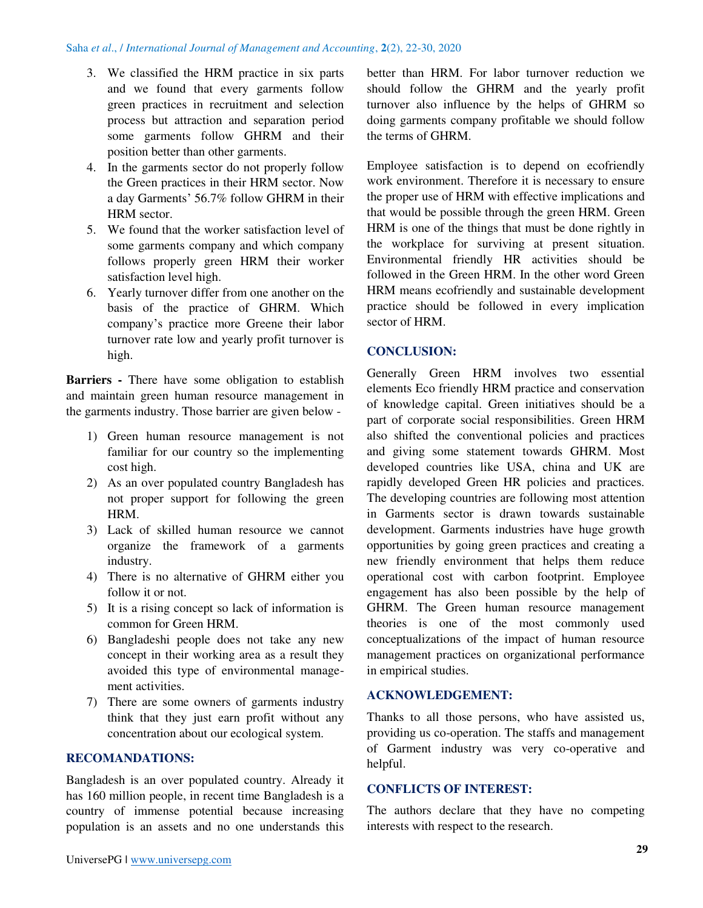- 3. We classified the HRM practice in six parts and we found that every garments follow green practices in recruitment and selection process but attraction and separation period some garments follow GHRM and their position better than other garments.
- 4. In the garments sector do not properly follow the Green practices in their HRM sector. Now a day Garments' 56.7% follow GHRM in their HRM sector.
- 5. We found that the worker satisfaction level of some garments company and which company follows properly green HRM their worker satisfaction level high.
- 6. Yearly turnover differ from one another on the basis of the practice of GHRM. Which company's practice more Greene their labor turnover rate low and yearly profit turnover is high.

**Barriers -** There have some obligation to establish and maintain green human resource management in the garments industry. Those barrier are given below -

- 1) Green human resource management is not familiar for our country so the implementing cost high.
- 2) As an over populated country Bangladesh has not proper support for following the green HRM.
- 3) Lack of skilled human resource we cannot organize the framework of a garments industry.
- 4) There is no alternative of GHRM either you follow it or not.
- 5) It is a rising concept so lack of information is common for Green HRM.
- 6) Bangladeshi people does not take any new concept in their working area as a result they avoided this type of environmental management activities.
- 7) There are some owners of garments industry think that they just earn profit without any concentration about our ecological system.

# **RECOMANDATIONS:**

Bangladesh is an over populated country. Already it has 160 million people, in recent time Bangladesh is a country of immense potential because increasing population is an assets and no one understands this better than HRM. For labor turnover reduction we should follow the GHRM and the yearly profit turnover also influence by the helps of GHRM so doing garments company profitable we should follow the terms of GHRM.

Employee satisfaction is to depend on ecofriendly work environment. Therefore it is necessary to ensure the proper use of HRM with effective implications and that would be possible through the green HRM. Green HRM is one of the things that must be done rightly in the workplace for surviving at present situation. Environmental friendly HR activities should be followed in the Green HRM. In the other word Green HRM means ecofriendly and sustainable development practice should be followed in every implication sector of HRM.

#### **CONCLUSION:**

Generally Green HRM involves two essential elements Eco friendly HRM practice and conservation of knowledge capital. Green initiatives should be a part of corporate social responsibilities. Green HRM also shifted the conventional policies and practices and giving some statement towards GHRM. Most developed countries like USA, china and UK are rapidly developed Green HR policies and practices. The developing countries are following most attention in Garments sector is drawn towards sustainable development. Garments industries have huge growth opportunities by going green practices and creating a new friendly environment that helps them reduce operational cost with carbon footprint. Employee engagement has also been possible by the help of GHRM. The Green human resource management theories is one of the most commonly used conceptualizations of the impact of human resource management practices on organizational performance in empirical studies.

# **ACKNOWLEDGEMENT:**

Thanks to all those persons, who have assisted us, providing us co-operation. The staffs and management of Garment industry was very co-operative and helpful.

## **CONFLICTS OF INTEREST:**

The authors declare that they have no competing interests with respect to the research.